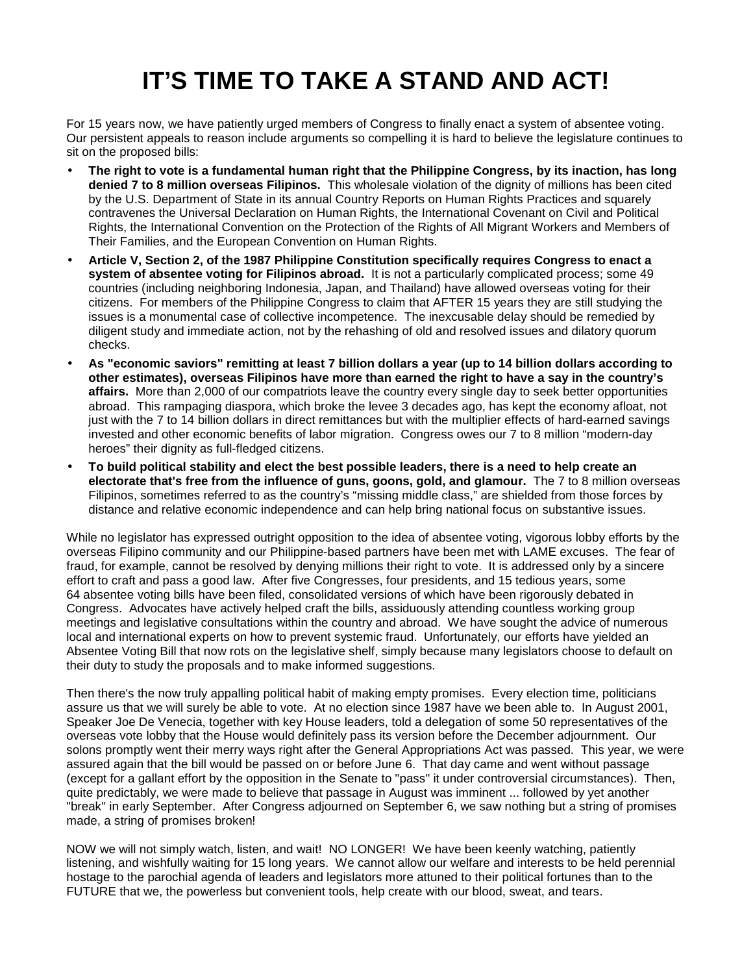# **IT'S TIME TO TAKE A STAND AND ACT!**

For 15 years now, we have patiently urged members of Congress to finally enact a system of absentee voting. Our persistent appeals to reason include arguments so compelling it is hard to believe the legislature continues to sit on the proposed bills:

- **The right to vote is a fundamental human right that the Philippine Congress, by its inaction, has long denied 7 to 8 million overseas Filipinos.** This wholesale violation of the dignity of millions has been cited by the U.S. Department of State in its annual Country Reports on Human Rights Practices and squarely contravenes the Universal Declaration on Human Rights, the International Covenant on Civil and Political Rights, the International Convention on the Protection of the Rights of All Migrant Workers and Members of Their Families, and the European Convention on Human Rights.
- **Article V, Section 2, of the 1987 Philippine Constitution specifically requires Congress to enact a system of absentee voting for Filipinos abroad.** It is not a particularly complicated process; some 49 countries (including neighboring Indonesia, Japan, and Thailand) have allowed overseas voting for their citizens. For members of the Philippine Congress to claim that AFTER 15 years they are still studying the issues is a monumental case of collective incompetence. The inexcusable delay should be remedied by diligent study and immediate action, not by the rehashing of old and resolved issues and dilatory quorum checks.
- **As "economic saviors" remitting at least 7 billion dollars a year (up to 14 billion dollars according to other estimates), overseas Filipinos have more than earned the right to have a say in the country's affairs.** More than 2,000 of our compatriots leave the country every single day to seek better opportunities abroad. This rampaging diaspora, which broke the levee 3 decades ago, has kept the economy afloat, not just with the 7 to 14 billion dollars in direct remittances but with the multiplier effects of hard-earned savings invested and other economic benefits of labor migration. Congress owes our 7 to 8 million "modern-day heroes" their dignity as full-fledged citizens.
- **To build political stability and elect the best possible leaders, there is a need to help create an electorate that's free from the influence of guns, goons, gold, and glamour.** The 7 to 8 million overseas Filipinos, sometimes referred to as the country's "missing middle class," are shielded from those forces by distance and relative economic independence and can help bring national focus on substantive issues.

While no legislator has expressed outright opposition to the idea of absentee voting, vigorous lobby efforts by the overseas Filipino community and our Philippine-based partners have been met with LAME excuses. The fear of fraud, for example, cannot be resolved by denying millions their right to vote. It is addressed only by a sincere effort to craft and pass a good law. After five Congresses, four presidents, and 15 tedious years, some 64 absentee voting bills have been filed, consolidated versions of which have been rigorously debated in Congress. Advocates have actively helped craft the bills, assiduously attending countless working group meetings and legislative consultations within the country and abroad. We have sought the advice of numerous local and international experts on how to prevent systemic fraud. Unfortunately, our efforts have yielded an Absentee Voting Bill that now rots on the legislative shelf, simply because many legislators choose to default on their duty to study the proposals and to make informed suggestions.

Then there's the now truly appalling political habit of making empty promises. Every election time, politicians assure us that we will surely be able to vote. At no election since 1987 have we been able to. In August 2001, Speaker Joe De Venecia, together with key House leaders, told a delegation of some 50 representatives of the overseas vote lobby that the House would definitely pass its version before the December adjournment. Our solons promptly went their merry ways right after the General Appropriations Act was passed. This year, we were assured again that the bill would be passed on or before June 6. That day came and went without passage (except for a gallant effort by the opposition in the Senate to "pass" it under controversial circumstances). Then, quite predictably, we were made to believe that passage in August was imminent ... followed by yet another "break" in early September. After Congress adjourned on September 6, we saw nothing but a string of promises made, a string of promises broken!

NOW we will not simply watch, listen, and wait! NO LONGER! We have been keenly watching, patiently listening, and wishfully waiting for 15 long years. We cannot allow our welfare and interests to be held perennial hostage to the parochial agenda of leaders and legislators more attuned to their political fortunes than to the FUTURE that we, the powerless but convenient tools, help create with our blood, sweat, and tears.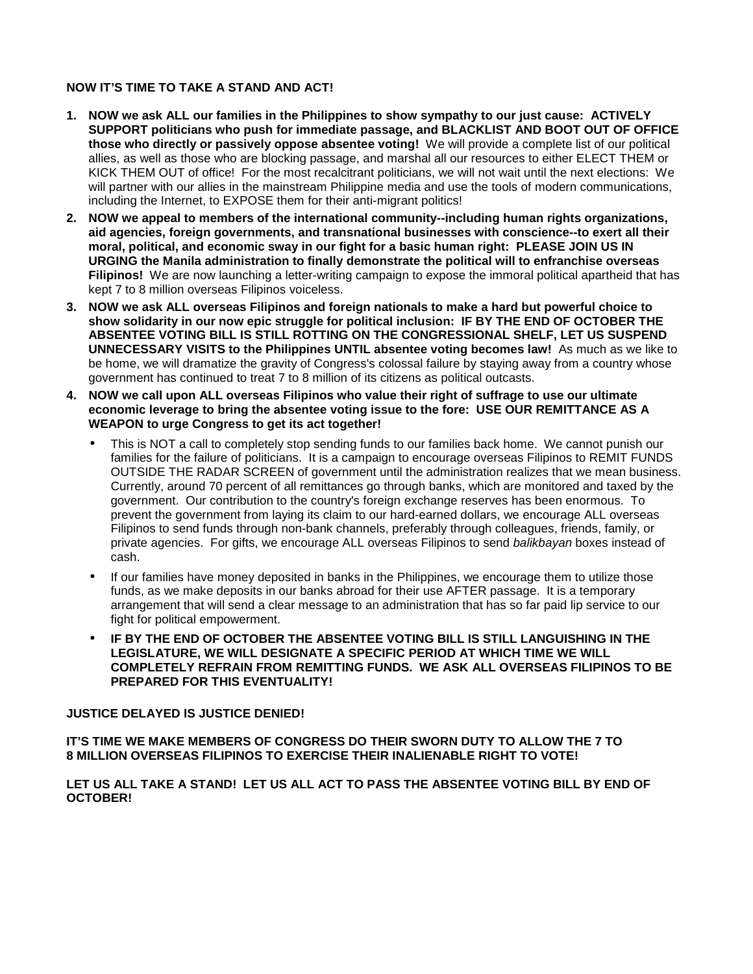#### **NOW IT'S TIME TO TAKE A STAND AND ACT!**

- **1. NOW we ask ALL our families in the Philippines to show sympathy to our just cause: ACTIVELY SUPPORT politicians who push for immediate passage, and BLACKLIST AND BOOT OUT OF OFFICE those who directly or passively oppose absentee voting!** We will provide a complete list of our political allies, as well as those who are blocking passage, and marshal all our resources to either ELECT THEM or KICK THEM OUT of office! For the most recalcitrant politicians, we will not wait until the next elections: We will partner with our allies in the mainstream Philippine media and use the tools of modern communications, including the Internet, to EXPOSE them for their anti-migrant politics!
- **2. NOW we appeal to members of the international community--including human rights organizations, aid agencies, foreign governments, and transnational businesses with conscience--to exert all their moral, political, and economic sway in our fight for a basic human right: PLEASE JOIN US IN URGING the Manila administration to finally demonstrate the political will to enfranchise overseas Filipinos!** We are now launching a letter-writing campaign to expose the immoral political apartheid that has kept 7 to 8 million overseas Filipinos voiceless.
- **3. NOW we ask ALL overseas Filipinos and foreign nationals to make a hard but powerful choice to show solidarity in our now epic struggle for political inclusion: IF BY THE END OF OCTOBER THE ABSENTEE VOTING BILL IS STILL ROTTING ON THE CONGRESSIONAL SHELF, LET US SUSPEND UNNECESSARY VISITS to the Philippines UNTIL absentee voting becomes law!** As much as we like to be home, we will dramatize the gravity of Congress's colossal failure by staying away from a country whose government has continued to treat 7 to 8 million of its citizens as political outcasts.
- **4. NOW we call upon ALL overseas Filipinos who value their right of suffrage to use our ultimate economic leverage to bring the absentee voting issue to the fore: USE OUR REMITTANCE AS A WEAPON to urge Congress to get its act together!** 
	- This is NOT a call to completely stop sending funds to our families back home. We cannot punish our families for the failure of politicians. It is a campaign to encourage overseas Filipinos to REMIT FUNDS OUTSIDE THE RADAR SCREEN of government until the administration realizes that we mean business. Currently, around 70 percent of all remittances go through banks, which are monitored and taxed by the government. Our contribution to the country's foreign exchange reserves has been enormous. To prevent the government from laying its claim to our hard-earned dollars, we encourage ALL overseas Filipinos to send funds through non-bank channels, preferably through colleagues, friends, family, or private agencies. For gifts, we encourage ALL overseas Filipinos to send *balikbayan* boxes instead of cash.
	- If our families have money deposited in banks in the Philippines, we encourage them to utilize those funds, as we make deposits in our banks abroad for their use AFTER passage. It is a temporary arrangement that will send a clear message to an administration that has so far paid lip service to our fight for political empowerment.
	- **IF BY THE END OF OCTOBER THE ABSENTEE VOTING BILL IS STILL LANGUISHING IN THE LEGISLATURE, WE WILL DESIGNATE A SPECIFIC PERIOD AT WHICH TIME WE WILL COMPLETELY REFRAIN FROM REMITTING FUNDS. WE ASK ALL OVERSEAS FILIPINOS TO BE PREPARED FOR THIS EVENTUALITY!**

#### **JUSTICE DELAYED IS JUSTICE DENIED!**

**IT'S TIME WE MAKE MEMBERS OF CONGRESS DO THEIR SWORN DUTY TO ALLOW THE 7 TO 8 MILLION OVERSEAS FILIPINOS TO EXERCISE THEIR INALIENABLE RIGHT TO VOTE!** 

**LET US ALL TAKE A STAND! LET US ALL ACT TO PASS THE ABSENTEE VOTING BILL BY END OF OCTOBER!**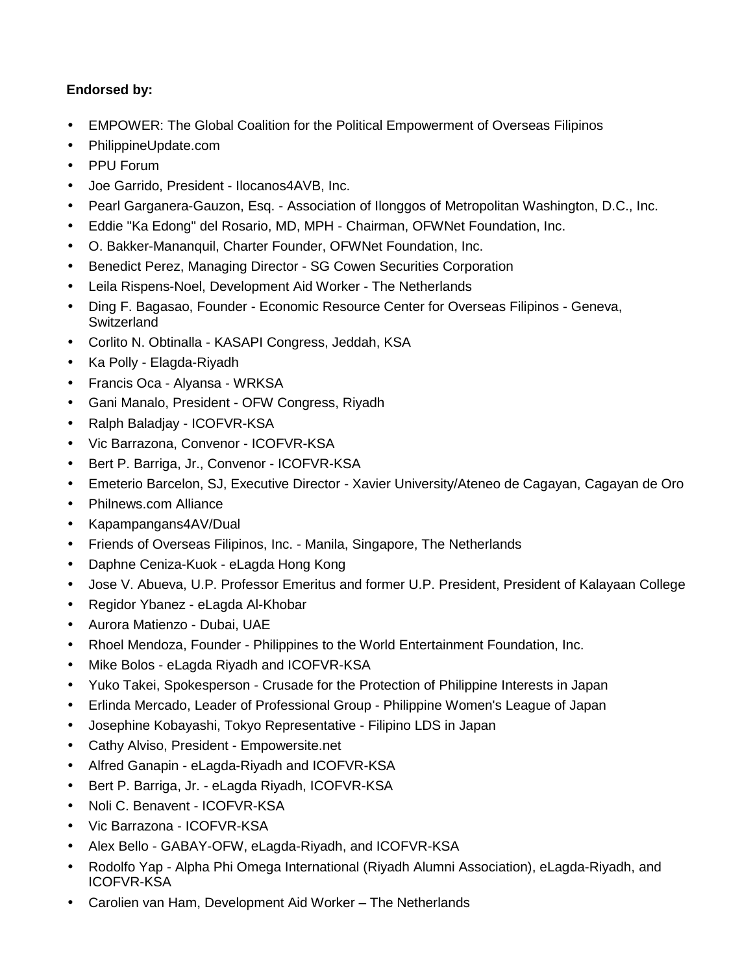## **Endorsed by:**

- EMPOWER: The Global Coalition for the Political Empowerment of Overseas Filipinos
- PhilippineUpdate.com
- PPU Forum
- Joe Garrido, President Ilocanos4AVB, Inc.
- Pearl Garganera-Gauzon, Esq. Association of Ilonggos of Metropolitan Washington, D.C., Inc.
- Eddie "Ka Edong" del Rosario, MD, MPH Chairman, OFWNet Foundation, Inc.
- O. Bakker-Mananquil, Charter Founder, OFWNet Foundation, Inc.
- Benedict Perez, Managing Director SG Cowen Securities Corporation
- Leila Rispens-Noel, Development Aid Worker The Netherlands
- Ding F. Bagasao, Founder Economic Resource Center for Overseas Filipinos Geneva, **Switzerland**
- Corlito N. Obtinalla KASAPI Congress, Jeddah, KSA
- Ka Polly Elagda-Riyadh
- Francis Oca Alyansa WRKSA
- Gani Manalo, President OFW Congress, Riyadh
- Ralph Baladjay ICOFVR-KSA
- Vic Barrazona, Convenor ICOFVR-KSA
- Bert P. Barriga, Jr., Convenor ICOFVR-KSA
- Emeterio Barcelon, SJ, Executive Director Xavier University/Ateneo de Cagayan, Cagayan de Oro
- Philnews.com Alliance
- Kapampangans4AV/Dual
- Friends of Overseas Filipinos, Inc. Manila, Singapore, The Netherlands
- Daphne Ceniza-Kuok eLagda Hong Kong
- Jose V. Abueva, U.P. Professor Emeritus and former U.P. President, President of Kalayaan College
- Regidor Ybanez eLagda Al-Khobar
- Aurora Matienzo Dubai, UAE
- Rhoel Mendoza, Founder Philippines to the World Entertainment Foundation, Inc.
- Mike Bolos eLagda Riyadh and ICOFVR-KSA
- Yuko Takei, Spokesperson Crusade for the Protection of Philippine Interests in Japan
- Erlinda Mercado, Leader of Professional Group Philippine Women's League of Japan
- Josephine Kobayashi, Tokyo Representative Filipino LDS in Japan
- Cathy Alviso, President Empowersite.net
- Alfred Ganapin eLagda-Riyadh and ICOFVR-KSA
- Bert P. Barriga, Jr. eLagda Riyadh, ICOFVR-KSA
- Noli C. Benavent ICOFVR-KSA
- Vic Barrazona ICOFVR-KSA
- Alex Bello GABAY-OFW, eLagda-Riyadh, and ICOFVR-KSA
- Rodolfo Yap Alpha Phi Omega International (Riyadh Alumni Association), eLagda-Riyadh, and ICOFVR-KSA
- Carolien van Ham, Development Aid Worker The Netherlands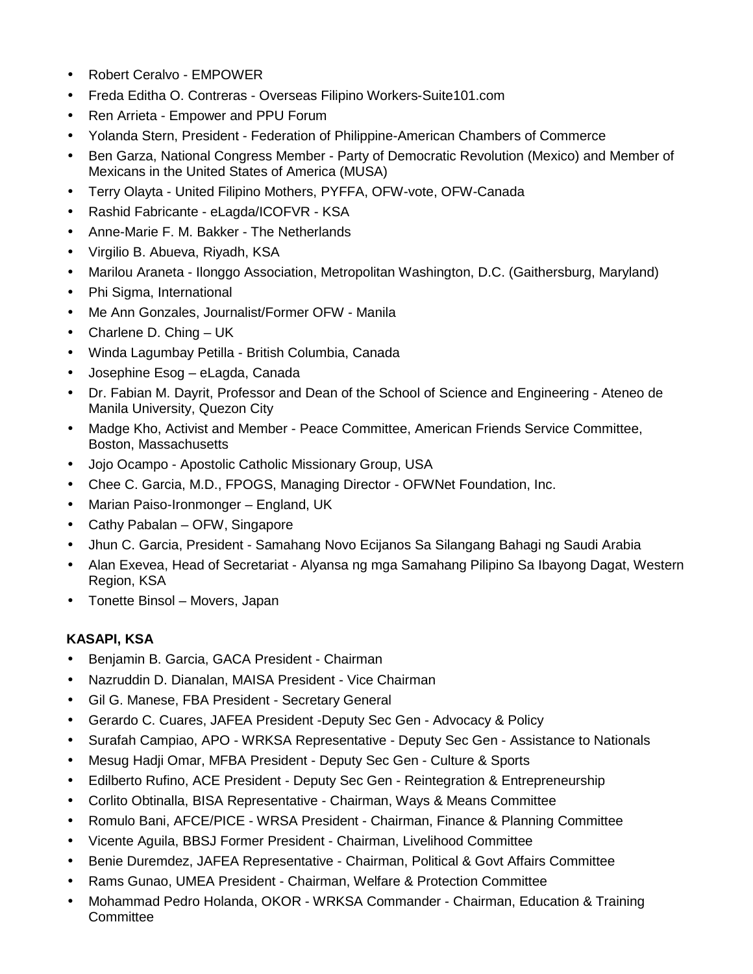- Robert Ceralvo EMPOWER
- Freda Editha O. Contreras Overseas Filipino Workers-Suite101.com
- Ren Arrieta Empower and PPU Forum
- Yolanda Stern, President Federation of Philippine-American Chambers of Commerce
- Ben Garza, National Congress Member Party of Democratic Revolution (Mexico) and Member of Mexicans in the United States of America (MUSA)
- Terry Olayta United Filipino Mothers, PYFFA, OFW-vote, OFW-Canada
- Rashid Fabricante eLagda/ICOFVR KSA
- Anne-Marie F. M. Bakker The Netherlands
- Virgilio B. Abueva, Riyadh, KSA
- Marilou Araneta Ilonggo Association, Metropolitan Washington, D.C. (Gaithersburg, Maryland)
- Phi Sigma, International
- Me Ann Gonzales, Journalist/Former OFW Manila
- Charlene D. Ching UK
- Winda Lagumbay Petilla British Columbia, Canada
- Josephine Esog eLagda, Canada
- Dr. Fabian M. Dayrit, Professor and Dean of the School of Science and Engineering Ateneo de Manila University, Quezon City
- Madge Kho, Activist and Member Peace Committee, American Friends Service Committee, Boston, Massachusetts
- Jojo Ocampo Apostolic Catholic Missionary Group, USA
- Chee C. Garcia, M.D., FPOGS, Managing Director OFWNet Foundation, Inc.
- Marian Paiso-Ironmonger England, UK
- Cathy Pabalan OFW, Singapore
- Jhun C. Garcia, President Samahang Novo Ecijanos Sa Silangang Bahagi ng Saudi Arabia
- Alan Exevea, Head of Secretariat Alyansa ng mga Samahang Pilipino Sa Ibayong Dagat, Western Region, KSA
- Tonette Binsol Movers, Japan

### **KASAPI, KSA**

- Benjamin B. Garcia, GACA President Chairman
- Nazruddin D. Dianalan, MAISA President Vice Chairman
- Gil G. Manese, FBA President Secretary General
- Gerardo C. Cuares, JAFEA President -Deputy Sec Gen Advocacy & Policy
- Surafah Campiao, APO WRKSA Representative Deputy Sec Gen Assistance to Nationals
- Mesug Hadji Omar, MFBA President Deputy Sec Gen Culture & Sports
- Edilberto Rufino, ACE President Deputy Sec Gen Reintegration & Entrepreneurship
- Corlito Obtinalla, BISA Representative Chairman, Ways & Means Committee
- Romulo Bani, AFCE/PICE WRSA President Chairman, Finance & Planning Committee
- Vicente Aguila, BBSJ Former President Chairman, Livelihood Committee
- Benie Duremdez, JAFEA Representative Chairman, Political & Govt Affairs Committee
- Rams Gunao, UMEA President Chairman, Welfare & Protection Committee
- Mohammad Pedro Holanda, OKOR WRKSA Commander Chairman, Education & Training **Committee**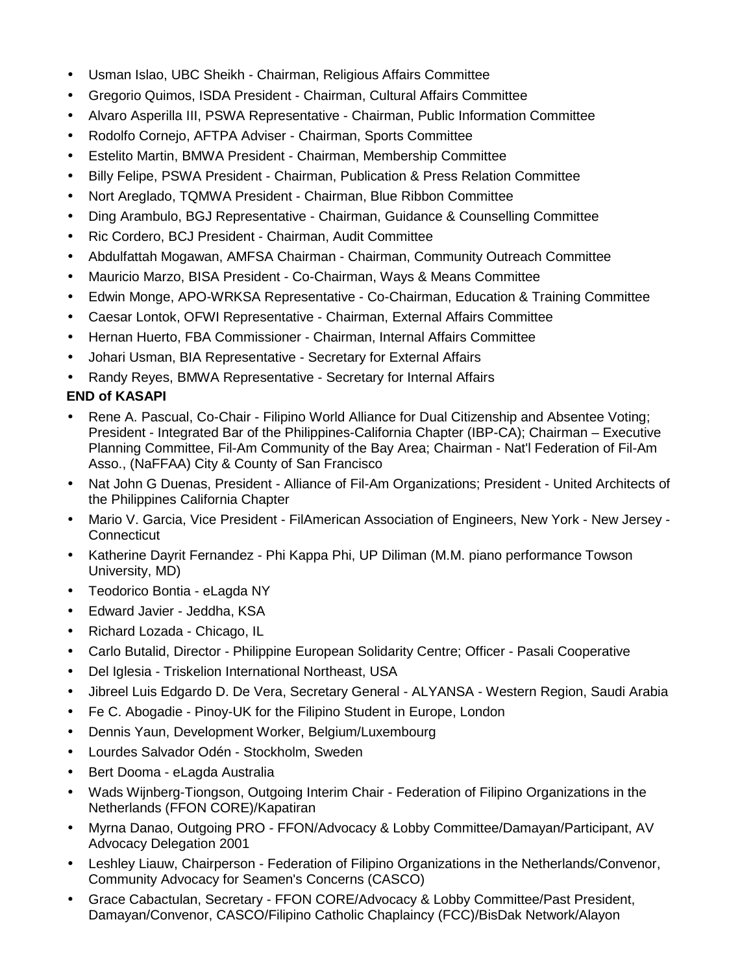- Usman Islao, UBC Sheikh Chairman, Religious Affairs Committee
- Gregorio Quimos, ISDA President Chairman, Cultural Affairs Committee
- Alvaro Asperilla III, PSWA Representative Chairman, Public Information Committee
- Rodolfo Cornejo, AFTPA Adviser Chairman, Sports Committee
- Estelito Martin, BMWA President Chairman, Membership Committee
- Billy Felipe, PSWA President Chairman, Publication & Press Relation Committee
- Nort Areglado, TQMWA President Chairman, Blue Ribbon Committee
- Ding Arambulo, BGJ Representative Chairman, Guidance & Counselling Committee
- Ric Cordero, BCJ President Chairman, Audit Committee
- Abdulfattah Mogawan, AMFSA Chairman Chairman, Community Outreach Committee
- Mauricio Marzo, BISA President Co-Chairman, Ways & Means Committee
- Edwin Monge, APO-WRKSA Representative Co-Chairman, Education & Training Committee
- Caesar Lontok, OFWI Representative Chairman, External Affairs Committee
- Hernan Huerto, FBA Commissioner Chairman, Internal Affairs Committee
- Johari Usman, BIA Representative Secretary for External Affairs
- Randy Reyes, BMWA Representative Secretary for Internal Affairs

## **END of KASAPI**

- Rene A. Pascual, Co-Chair Filipino World Alliance for Dual Citizenship and Absentee Voting; President - Integrated Bar of the Philippines-California Chapter (IBP-CA); Chairman – Executive Planning Committee, Fil-Am Community of the Bay Area; Chairman - Nat'l Federation of Fil-Am Asso., (NaFFAA) City & County of San Francisco
- Nat John G Duenas, President Alliance of Fil-Am Organizations; President United Architects of the Philippines California Chapter
- Mario V. Garcia, Vice President FilAmerican Association of Engineers, New York New Jersey **Connecticut**
- Katherine Dayrit Fernandez Phi Kappa Phi, UP Diliman (M.M. piano performance Towson University, MD)
- Teodorico Bontia eLagda NY
- Edward Javier Jeddha, KSA
- Richard Lozada Chicago, IL
- Carlo Butalid, Director Philippine European Solidarity Centre; Officer Pasali Cooperative
- Del Iglesia Triskelion International Northeast, USA
- Jibreel Luis Edgardo D. De Vera, Secretary General ALYANSA Western Region, Saudi Arabia
- Fe C. Abogadie Pinoy-UK for the Filipino Student in Europe, London
- Dennis Yaun, Development Worker, Belgium/Luxembourg
- Lourdes Salvador Odén Stockholm, Sweden
- Bert Dooma eLagda Australia
- Wads Wijnberg-Tiongson, Outgoing Interim Chair Federation of Filipino Organizations in the Netherlands (FFON CORE)/Kapatiran
- Myrna Danao, Outgoing PRO FFON/Advocacy & Lobby Committee/Damayan/Participant, AV Advocacy Delegation 2001
- Leshley Liauw, Chairperson Federation of Filipino Organizations in the Netherlands/Convenor, Community Advocacy for Seamen's Concerns (CASCO)
- Grace Cabactulan, Secretary FFON CORE/Advocacy & Lobby Committee/Past President, Damayan/Convenor, CASCO/Filipino Catholic Chaplaincy (FCC)/BisDak Network/Alayon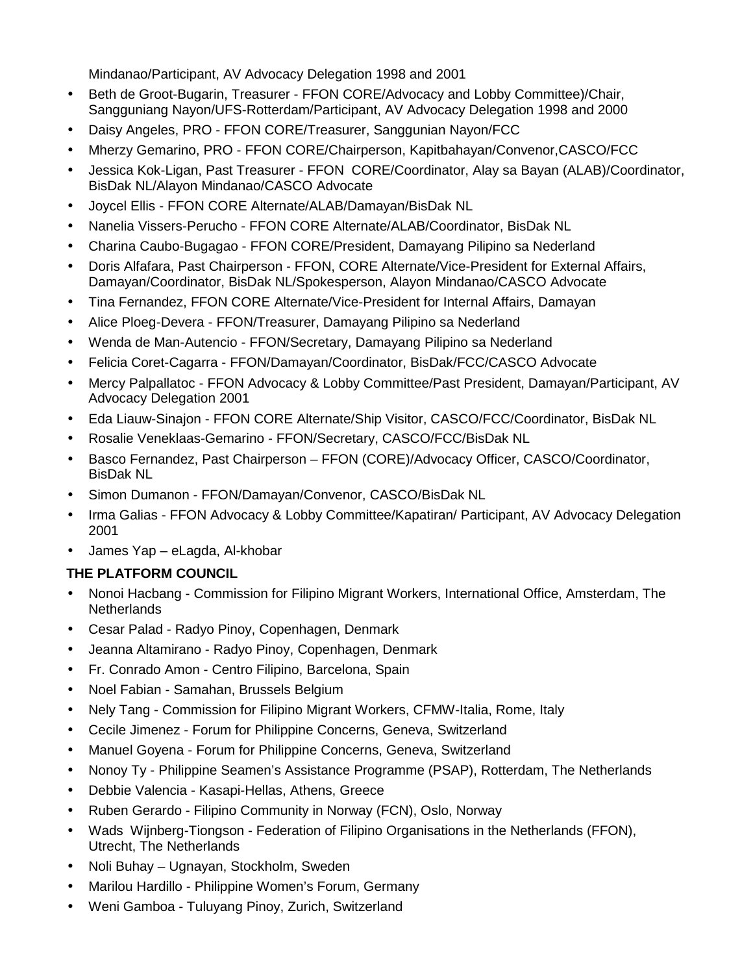Mindanao/Participant, AV Advocacy Delegation 1998 and 2001

- Beth de Groot-Bugarin, Treasurer FFON CORE/Advocacy and Lobby Committee)/Chair, Sangguniang Nayon/UFS-Rotterdam/Participant, AV Advocacy Delegation 1998 and 2000
- Daisy Angeles, PRO FFON CORE/Treasurer, Sanggunian Nayon/FCC
- Mherzy Gemarino, PRO FFON CORE/Chairperson, Kapitbahayan/Convenor,CASCO/FCC
- Jessica Kok-Ligan, Past Treasurer FFON CORE/Coordinator, Alay sa Bayan (ALAB)/Coordinator, BisDak NL/Alayon Mindanao/CASCO Advocate
- Joycel Ellis FFON CORE Alternate/ALAB/Damayan/BisDak NL
- Nanelia Vissers-Perucho FFON CORE Alternate/ALAB/Coordinator, BisDak NL
- Charina Caubo-Bugagao FFON CORE/President, Damayang Pilipino sa Nederland
- Doris Alfafara, Past Chairperson FFON, CORE Alternate/Vice-President for External Affairs, Damayan/Coordinator, BisDak NL/Spokesperson, Alayon Mindanao/CASCO Advocate
- Tina Fernandez, FFON CORE Alternate/Vice-President for Internal Affairs, Damayan
- Alice Ploeg-Devera FFON/Treasurer, Damayang Pilipino sa Nederland
- Wenda de Man-Autencio FFON/Secretary, Damayang Pilipino sa Nederland
- Felicia Coret-Cagarra FFON/Damayan/Coordinator, BisDak/FCC/CASCO Advocate
- Mercy Palpallatoc FFON Advocacy & Lobby Committee/Past President, Damayan/Participant, AV Advocacy Delegation 2001
- Eda Liauw-Sinajon FFON CORE Alternate/Ship Visitor, CASCO/FCC/Coordinator, BisDak NL
- Rosalie Veneklaas-Gemarino FFON/Secretary, CASCO/FCC/BisDak NL
- Basco Fernandez, Past Chairperson FFON (CORE)/Advocacy Officer, CASCO/Coordinator, BisDak NL
- Simon Dumanon FFON/Damayan/Convenor, CASCO/BisDak NL
- Irma Galias FFON Advocacy & Lobby Committee/Kapatiran/ Participant, AV Advocacy Delegation 2001
- James Yap eLagda, Al-khobar

# **THE PLATFORM COUNCIL**

- Nonoi Hacbang Commission for Filipino Migrant Workers, International Office, Amsterdam, The **Netherlands**
- Cesar Palad Radyo Pinoy, Copenhagen, Denmark
- Jeanna Altamirano Radyo Pinoy, Copenhagen, Denmark
- Fr. Conrado Amon Centro Filipino, Barcelona, Spain
- Noel Fabian Samahan, Brussels Belgium
- Nely Tang Commission for Filipino Migrant Workers, CFMW-Italia, Rome, Italy
- Cecile Jimenez Forum for Philippine Concerns, Geneva, Switzerland
- Manuel Goyena Forum for Philippine Concerns, Geneva, Switzerland
- Nonoy Ty Philippine Seamen's Assistance Programme (PSAP), Rotterdam, The Netherlands
- Debbie Valencia Kasapi-Hellas, Athens, Greece
- Ruben Gerardo Filipino Community in Norway (FCN), Oslo, Norway
- Wads Wijnberg-Tiongson Federation of Filipino Organisations in the Netherlands (FFON), Utrecht, The Netherlands
- Noli Buhay Ugnayan, Stockholm, Sweden
- Marilou Hardillo Philippine Women's Forum, Germany
- Weni Gamboa Tuluyang Pinoy, Zurich, Switzerland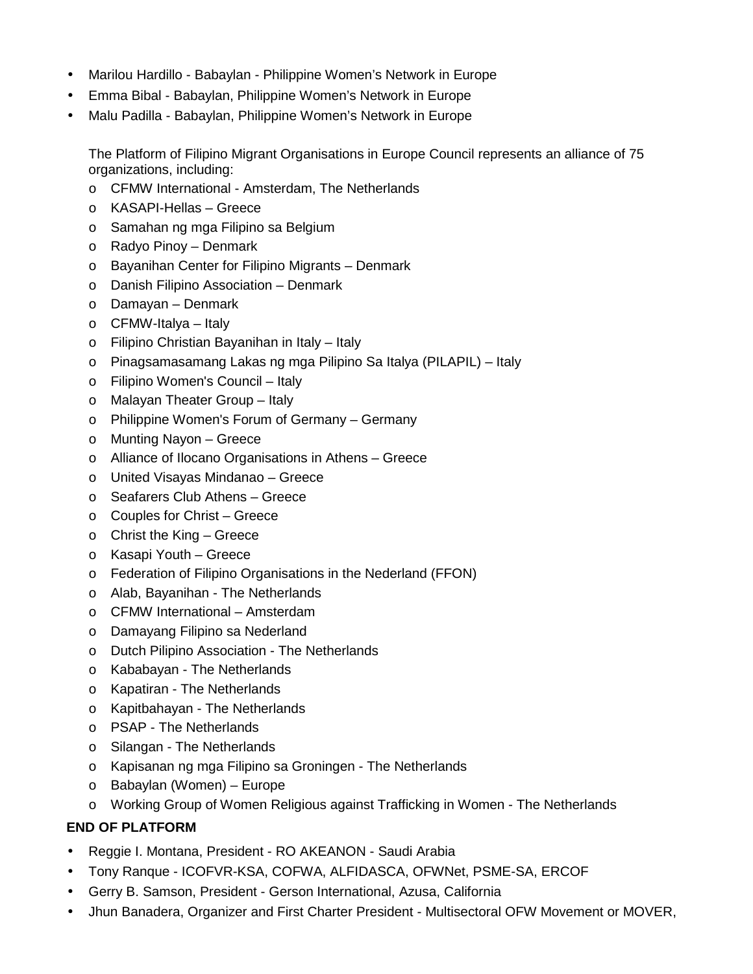- Marilou Hardillo Babaylan Philippine Women's Network in Europe
- Emma Bibal Babaylan, Philippine Women's Network in Europe
- Malu Padilla Babaylan, Philippine Women's Network in Europe

The Platform of Filipino Migrant Organisations in Europe Council represents an alliance of 75 organizations, including:

- o CFMW International Amsterdam, The Netherlands
- o KASAPI-Hellas Greece
- o Samahan ng mga Filipino sa Belgium
- o Radyo Pinoy Denmark
- o Bayanihan Center for Filipino Migrants Denmark
- o Danish Filipino Association Denmark
- o Damayan Denmark
- o CFMW-Italya Italy
- o Filipino Christian Bayanihan in Italy Italy
- o Pinagsamasamang Lakas ng mga Pilipino Sa Italya (PILAPIL) Italy
- o Filipino Women's Council Italy
- o Malayan Theater Group Italy
- o Philippine Women's Forum of Germany Germany
- o Munting Nayon Greece
- o Alliance of Ilocano Organisations in Athens Greece
- o United Visayas Mindanao Greece
- o Seafarers Club Athens Greece
- o Couples for Christ Greece
- o Christ the King Greece
- o Kasapi Youth Greece
- o Federation of Filipino Organisations in the Nederland (FFON)
- o Alab, Bayanihan The Netherlands
- o CFMW International Amsterdam
- o Damayang Filipino sa Nederland
- o Dutch Pilipino Association The Netherlands
- o Kababayan The Netherlands
- o Kapatiran The Netherlands
- o Kapitbahayan The Netherlands
- o PSAP The Netherlands
- o Silangan The Netherlands
- o Kapisanan ng mga Filipino sa Groningen The Netherlands
- o Babaylan (Women) Europe
- o Working Group of Women Religious against Trafficking in Women The Netherlands

## **END OF PLATFORM**

- Reggie I. Montana, President RO AKEANON Saudi Arabia
- Tony Ranque ICOFVR-KSA, COFWA, ALFIDASCA, OFWNet, PSME-SA, ERCOF
- Gerry B. Samson, President Gerson International, Azusa, California
- Jhun Banadera, Organizer and First Charter President Multisectoral OFW Movement or MOVER,